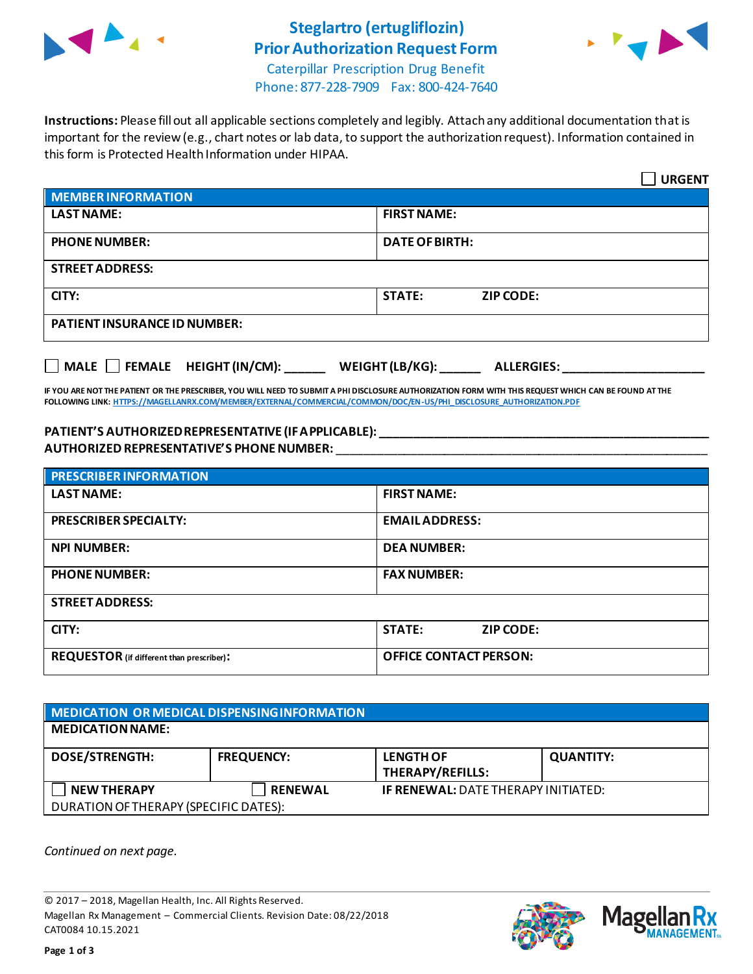

## **Steglartro (ertugliflozin) Prior Authorization Request Form**



Caterpillar Prescription Drug Benefit Phone: 877-228-7909 Fax: 800-424-7640

**Instructions:** Please fill out all applicable sections completely and legibly. Attach any additional documentation that is important for the review (e.g., chart notes or lab data, to support the authorization request). Information contained in this form is Protected Health Information under HIPAA.

|                                                                                   | <b>URGENT</b>                     |  |  |
|-----------------------------------------------------------------------------------|-----------------------------------|--|--|
| <b>MEMBER INFORMATION</b>                                                         |                                   |  |  |
| <b>LAST NAME:</b>                                                                 | <b>FIRST NAME:</b>                |  |  |
| <b>PHONE NUMBER:</b>                                                              | <b>DATE OF BIRTH:</b>             |  |  |
| <b>STREET ADDRESS:</b>                                                            |                                   |  |  |
| CITY:                                                                             | <b>STATE:</b><br><b>ZIP CODE:</b> |  |  |
| <b>PATIENT INSURANCE ID NUMBER:</b>                                               |                                   |  |  |
| $\Box$ MALE $\Box$ FEMALE HEIGHT (IN/CM):<br>WEIGHT (LB/KG):<br><b>ALLERGIES:</b> |                                   |  |  |

**IF YOU ARE NOT THE PATIENT OR THE PRESCRIBER, YOU WILL NEED TO SUBMIT A PHI DISCLOSURE AUTHORIZATION FORM WITH THIS REQUEST WHICH CAN BE FOUND AT THE FOLLOWING LINK[: HTTPS://MAGELLANRX.COM/MEMBER/EXTERNAL/COMMERCIAL/COMMON/DOC/EN-US/PHI\\_DISCLOSURE\\_AUTHORIZATION.PDF](https://magellanrx.com/member/external/commercial/common/doc/en-us/PHI_Disclosure_Authorization.pdf)**

## **PATIENT'S AUTHORIZED REPRESENTATIVE (IF APPLICABLE): \_\_\_\_\_\_\_\_\_\_\_\_\_\_\_\_\_\_\_\_\_\_\_\_\_\_\_\_\_\_\_\_\_\_\_\_\_\_\_\_\_\_\_\_\_\_\_\_\_ AUTHORIZED REPRESENTATIVE'S PHONE NUMBER:** \_\_\_\_\_\_\_\_\_\_\_\_\_\_\_\_\_\_\_\_\_\_\_\_\_\_\_\_\_\_\_\_\_\_\_\_\_\_\_\_\_\_\_\_\_\_\_\_\_\_\_\_\_\_\_

| <b>PRESCRIBER INFORMATION</b>             |                               |
|-------------------------------------------|-------------------------------|
| <b>LAST NAME:</b>                         | <b>FIRST NAME:</b>            |
| <b>PRESCRIBER SPECIALTY:</b>              | <b>EMAIL ADDRESS:</b>         |
| <b>NPI NUMBER:</b>                        | <b>DEA NUMBER:</b>            |
| <b>PHONE NUMBER:</b>                      | <b>FAX NUMBER:</b>            |
| <b>STREET ADDRESS:</b>                    |                               |
| CITY:                                     | <b>STATE:</b><br>ZIP CODE:    |
| REQUESTOR (if different than prescriber): | <b>OFFICE CONTACT PERSON:</b> |

| MEDICATION OR MEDICAL DISPENSING INFORMATION |                   |                                            |                  |  |  |
|----------------------------------------------|-------------------|--------------------------------------------|------------------|--|--|
| <b>MEDICATION NAME:</b>                      |                   |                                            |                  |  |  |
| <b>DOSE/STRENGTH:</b>                        | <b>FREQUENCY:</b> | <b>LENGTH OF</b><br>THERAPY/REFILLS:       | <b>QUANTITY:</b> |  |  |
| <b>NEW THERAPY</b>                           | <b>RENEWAL</b>    | <b>IF RENEWAL: DATE THERAPY INITIATED:</b> |                  |  |  |
| DURATION OF THERAPY (SPECIFIC DATES):        |                   |                                            |                  |  |  |

*Continued on next page.*

© 2017 – 2018, Magellan Health, Inc. All Rights Reserved. Magellan Rx Management – Commercial Clients. Revision Date: 08/22/2018 CAT0084 10.15.2021



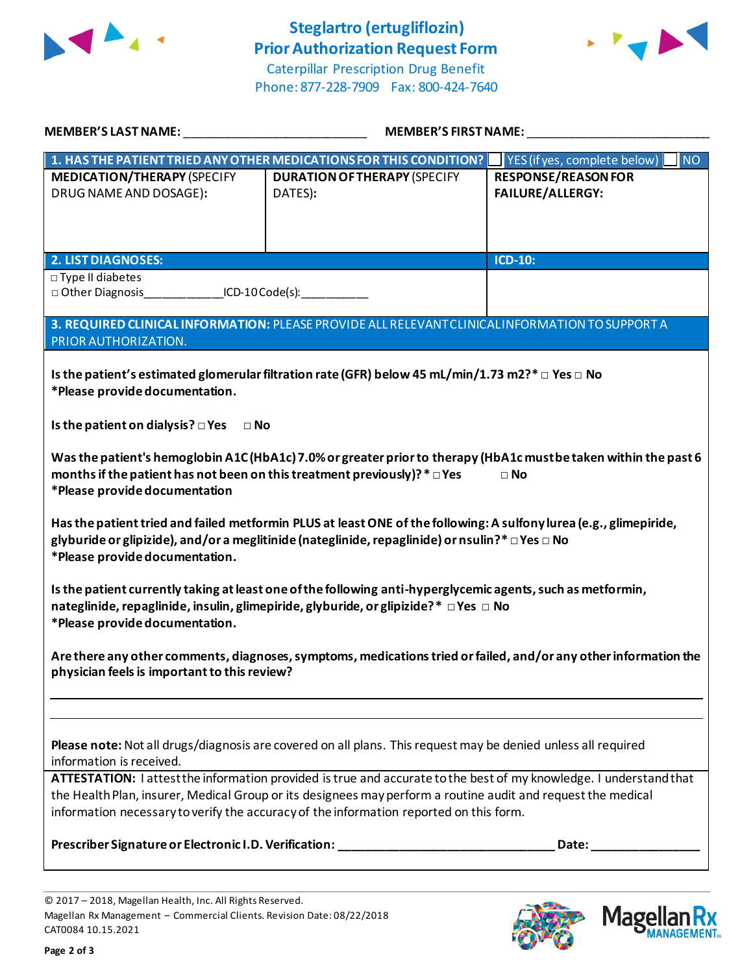

Phone: 877-228-7909 Fax: 800-424-7640



**MEMBER'S LAST NAME:** \_\_\_\_\_\_\_\_\_\_\_\_\_\_\_\_\_\_\_\_\_\_\_\_\_\_\_ **MEMBER'S FIRST NAME:** \_\_\_\_\_\_\_\_\_\_\_\_\_\_\_\_\_\_\_\_\_\_\_\_\_\_\_ 1. HAS THE PATIENT TRIED ANY OTHER MEDICATIONS FOR THIS CONDITION? **Notice**  $\frac{1}{2}$  YES (if yes, complete below) **MEDICATION/THERAPY** (SPECIFY DRUG NAME AND DOSAGE)**: DURATION OF THERAPY** (SPECIFY DATES)**: RESPONSE/REASON FOR FAILURE/ALLERGY: 2. LIST DIAGNOSES: ICD-10:** □ Type II diabetes □ Other Diagnosis ICD-10 Code(s): **3. REQUIRED CLINICAL INFORMATION:** PLEASE PROVIDE ALL RELEVANT CLINICAL INFORMATION TO SUPPORT A PRIOR AUTHORIZATION. **Is the patient's estimated glomerular filtration rate (GFR) below 45 mL/min/1.73 m2?\*□ Yes □ No \*Please provide documentation. Is the patient on dialysis? □ Yes □ No Was the patient's hemoglobin A1C (HbA1c) 7.0% or greater prior to therapy (HbA1c must be taken within the past 6 months if the patient has not been on this treatment previously)?\*□ Yes □ No \*Please provide documentation Has the patient tried and failed metformin PLUS at least ONE of the following: A sulfony lurea (e.g., glimepiride, glyburide or glipizide), and/or a meglitinide (nateglinide, repaglinide) or nsulin?\* □ Yes □ No \*Please provide documentation. Is the patient currently taking at least one of the following anti-hyperglycemic agents, such as metformin, nateglinide, repaglinide, insulin, glimepiride, glyburide, or glipizide?\* □ Yes □ No \*Please provide documentation. Are there any other comments, diagnoses, symptoms, medications tried or failed, and/or any other information the physician feels is important to this review? Please note:** Not all drugs/diagnosis are covered on all plans. This request may be denied unless all required information is received. **ATTESTATION:** I attest the information provided is true and accurate to the best of my knowledge. I understand that the Health Plan, insurer, Medical Group or its designees may perform a routine audit and request the medical information necessary to verify the accuracy of the information reported on this form. **Prescriber Signature or Electronic I.D. Verification: \_\_\_\_\_\_\_\_\_\_\_\_\_\_\_\_\_\_\_\_\_\_\_\_\_\_\_\_\_\_\_\_ Date: \_\_\_\_\_\_\_\_\_\_\_\_\_\_\_\_**

© 2017 – 2018, Magellan Health, Inc. All Rights Reserved. Magellan Rx Management – Commercial Clients. Revision Date: 08/22/2018 CAT0084 10.15.2021